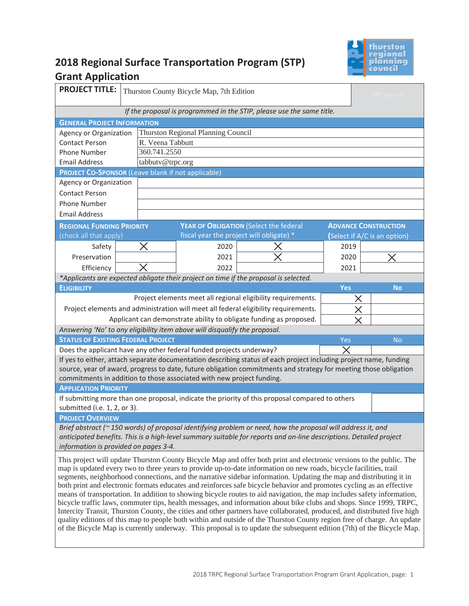

# **2018 Regional Surface Transportation Program (STP) Grant Application**

| <b>PROJECT TITLE:</b>                                                                                                                                                                                                                          |                                                              | Thurston County Bicycle Map, 7th Edition<br>TRPC use only |      |                                                                                                                        |            |                              |
|------------------------------------------------------------------------------------------------------------------------------------------------------------------------------------------------------------------------------------------------|--------------------------------------------------------------|-----------------------------------------------------------|------|------------------------------------------------------------------------------------------------------------------------|------------|------------------------------|
| If the proposal is programmed in the STIP, please use the same title.                                                                                                                                                                          |                                                              |                                                           |      |                                                                                                                        |            |                              |
| <b>GENERAL PROJECT INFORMATION</b>                                                                                                                                                                                                             |                                                              |                                                           |      |                                                                                                                        |            |                              |
|                                                                                                                                                                                                                                                | Thurston Regional Planning Council<br>Agency or Organization |                                                           |      |                                                                                                                        |            |                              |
| <b>Contact Person</b>                                                                                                                                                                                                                          | R. Veena Tabbutt                                             |                                                           |      |                                                                                                                        |            |                              |
| Phone Number                                                                                                                                                                                                                                   | 360.741.2550                                                 |                                                           |      |                                                                                                                        |            |                              |
| <b>Email Address</b>                                                                                                                                                                                                                           |                                                              | tabbutv@trpc.org                                          |      |                                                                                                                        |            |                              |
| <b>PROJECT CO-SPONSOR (Leave blank if not applicable)</b>                                                                                                                                                                                      |                                                              |                                                           |      |                                                                                                                        |            |                              |
| Agency or Organization                                                                                                                                                                                                                         |                                                              |                                                           |      |                                                                                                                        |            |                              |
| <b>Contact Person</b>                                                                                                                                                                                                                          |                                                              |                                                           |      |                                                                                                                        |            |                              |
| Phone Number                                                                                                                                                                                                                                   |                                                              |                                                           |      |                                                                                                                        |            |                              |
| <b>Email Address</b>                                                                                                                                                                                                                           |                                                              |                                                           |      |                                                                                                                        |            |                              |
| <b>REGIONAL FUNDING PRIORITY</b><br>(check all that apply)                                                                                                                                                                                     |                                                              |                                                           |      | YEAR OF OBLIGATION (Select the federal<br>fiscal year the project will obligate) *                                     |            | <b>ADVANCE CONSTRUCTION</b>  |
| Safety                                                                                                                                                                                                                                         |                                                              | Х                                                         | 2020 |                                                                                                                        | 2019       | (Select if A/C is an option) |
| Preservation                                                                                                                                                                                                                                   |                                                              |                                                           | 2021 |                                                                                                                        | 2020       |                              |
| Efficiency                                                                                                                                                                                                                                     |                                                              |                                                           | 2022 |                                                                                                                        | 2021       |                              |
|                                                                                                                                                                                                                                                |                                                              |                                                           |      | *Applicants are expected obligate their project on time if the proposal is selected.                                   |            |                              |
| <b>ELIGIBILITY</b>                                                                                                                                                                                                                             |                                                              |                                                           |      |                                                                                                                        | <b>Yes</b> | <b>No</b>                    |
|                                                                                                                                                                                                                                                |                                                              |                                                           |      | Project elements meet all regional eligibility requirements.                                                           | X          |                              |
|                                                                                                                                                                                                                                                |                                                              |                                                           |      | Project elements and administration will meet all federal eligibility requirements.                                    | $\times$   |                              |
|                                                                                                                                                                                                                                                |                                                              |                                                           |      | Applicant can demonstrate ability to obligate funding as proposed.                                                     |            |                              |
| Answering 'No' to any eligibility item above will disqualify the proposal.                                                                                                                                                                     |                                                              |                                                           |      |                                                                                                                        |            |                              |
| <b>STATUS OF EXISTING FEDERAL PROJECT</b>                                                                                                                                                                                                      |                                                              |                                                           |      |                                                                                                                        | Yes        | <b>No</b>                    |
| Does the applicant have any other federal funded projects underway?                                                                                                                                                                            |                                                              |                                                           |      |                                                                                                                        |            |                              |
|                                                                                                                                                                                                                                                |                                                              |                                                           |      | If yes to either, attach separate documentation describing status of each project including project name, funding      |            |                              |
|                                                                                                                                                                                                                                                |                                                              |                                                           |      | source, year of award, progress to date, future obligation commitments and strategy for meeting those obligation       |            |                              |
| commitments in addition to those associated with new project funding.                                                                                                                                                                          |                                                              |                                                           |      |                                                                                                                        |            |                              |
| <b>APPLICATION PRIORITY</b>                                                                                                                                                                                                                    |                                                              |                                                           |      |                                                                                                                        |            |                              |
| submitted (i.e. 1, 2, or 3).                                                                                                                                                                                                                   |                                                              |                                                           |      | If submitting more than one proposal, indicate the priority of this proposal compared to others                        |            |                              |
| <b>PROJECT OVERVIEW</b>                                                                                                                                                                                                                        |                                                              |                                                           |      |                                                                                                                        |            |                              |
|                                                                                                                                                                                                                                                |                                                              |                                                           |      | Brief abstract (~ 150 words) of proposal identifying problem or need, how the proposal will address it, and            |            |                              |
|                                                                                                                                                                                                                                                |                                                              |                                                           |      | anticipated benefits. This is a high-level summary suitable for reports and on-line descriptions. Detailed project     |            |                              |
| information is provided on pages 3-4.                                                                                                                                                                                                          |                                                              |                                                           |      |                                                                                                                        |            |                              |
| This project will update Thurston County Bicycle Map and offer both print and electronic versions to the public. The                                                                                                                           |                                                              |                                                           |      |                                                                                                                        |            |                              |
| map is updated every two to three years to provide up-to-date information on new roads, bicycle facilities, trail                                                                                                                              |                                                              |                                                           |      |                                                                                                                        |            |                              |
| segments, neighborhood connections, and the narrative sidebar information. Updating the map and distributing it in                                                                                                                             |                                                              |                                                           |      |                                                                                                                        |            |                              |
| both print and electronic formats educates and reinforces safe bicycle behavior and promotes cycling as an effective<br>means of transportation. In addition to showing bicycle routes to aid navigation, the map includes safety information, |                                                              |                                                           |      |                                                                                                                        |            |                              |
| bicycle traffic laws, commuter tips, health messages, and information about bike clubs and shops. Since 1999, TRPC,                                                                                                                            |                                                              |                                                           |      |                                                                                                                        |            |                              |
| Intercity Transit, Thurston County, the cities and other partners have collaborated, produced, and distributed five high                                                                                                                       |                                                              |                                                           |      |                                                                                                                        |            |                              |
|                                                                                                                                                                                                                                                |                                                              |                                                           |      | quality editions of this map to people both within and outside of the Thurston County region free of charge. An update |            |                              |
| of the Bicycle Map is currently underway. This proposal is to update the subsequent edition (7th) of the Bicycle Map.                                                                                                                          |                                                              |                                                           |      |                                                                                                                        |            |                              |
|                                                                                                                                                                                                                                                |                                                              |                                                           |      |                                                                                                                        |            |                              |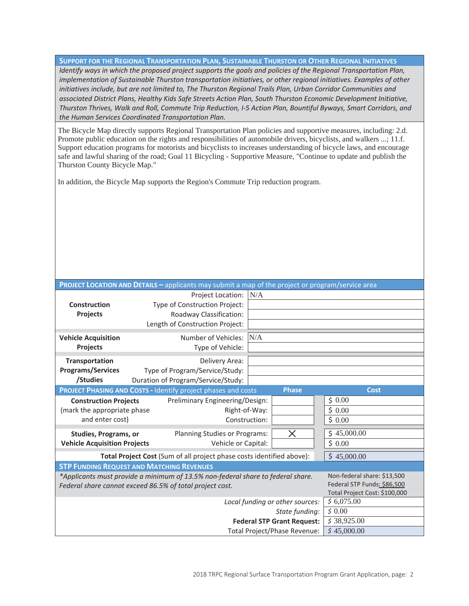**SUPPORT FOR THE REGIONAL TRANSPORTATION PLAN, SUSTAINABLE THURSTON OR OTHER REGIONAL INITIATIVES** *Identify ways in which the proposed project supports the goals and policies of the Regional Transportation Plan, implementation of Sustainable Thurston transportation initiatives, or other regional initiatives. Examples of other*  initiatives include, but are not limited to, The Thurston Regional Trails Plan, Urban Corridor Communities and *associated District Plans, Healthy Kids Safe Streets Action Plan, South Thurston Economic Development Initiative, Thurston Thrives, Walk and Roll, Commute Trip Reduction, I-5 Action Plan, Bountiful Byways, Smart Corridors, and the Human Services Coordinated Transportation Plan.* 

The Bicycle Map directly supports Regional Transportation Plan policies and supportive measures, including: 2.d. Promote public education on the rights and responsibilities of automobile drivers, bicyclists, and walkers ...; 11.f. Support education programs for motorists and bicyclists to increases understanding of bicycle laws, and encourage safe and lawful sharing of the road; Goal 11 Bicycling - Supportive Measure, "Continue to update and publish the Thurston County Bicycle Map."

In addition, the Bicycle Map supports the Region's Commute Trip reduction program.

| <b>PROJECT LOCATION AND DETAILS - applicants may submit a map of the project or program/service area</b> |                                                                                 |                             |  |  |  |
|----------------------------------------------------------------------------------------------------------|---------------------------------------------------------------------------------|-----------------------------|--|--|--|
|                                                                                                          | Project Location:<br>N/A                                                        |                             |  |  |  |
| <b>Construction</b>                                                                                      | Type of Construction Project:                                                   |                             |  |  |  |
| Projects                                                                                                 | Roadway Classification:                                                         |                             |  |  |  |
|                                                                                                          | Length of Construction Project:                                                 |                             |  |  |  |
| <b>Vehicle Acquisition</b>                                                                               | Number of Vehicles:<br>N/A                                                      |                             |  |  |  |
| Projects                                                                                                 | Type of Vehicle:                                                                |                             |  |  |  |
|                                                                                                          |                                                                                 |                             |  |  |  |
| Transportation<br><b>Programs/Services</b>                                                               | Delivery Area:                                                                  |                             |  |  |  |
| /Studies                                                                                                 | Type of Program/Service/Study:<br>Duration of Program/Service/Study:            |                             |  |  |  |
|                                                                                                          | <b>Phase</b><br>PROJECT PHASING AND COSTS - Identify project phases and costs   | <b>Cost</b>                 |  |  |  |
|                                                                                                          |                                                                                 | \$0.00                      |  |  |  |
| <b>Construction Projects</b>                                                                             | Preliminary Engineering/Design:                                                 |                             |  |  |  |
| (mark the appropriate phase                                                                              | Right-of-Way:                                                                   | \$0.00                      |  |  |  |
| and enter cost)                                                                                          | Construction:                                                                   | \$0.00                      |  |  |  |
| Studies, Programs, or                                                                                    | $\times$<br>Planning Studies or Programs:                                       | \$45,000.00                 |  |  |  |
| <b>Vehicle Acquisition Projects</b>                                                                      | Vehicle or Capital:                                                             | \$0.00                      |  |  |  |
| Total Project Cost (Sum of all project phase costs identified above):                                    | \$45,000.00                                                                     |                             |  |  |  |
|                                                                                                          | <b>STP FUNDING REQUEST AND MATCHING REVENUES</b>                                |                             |  |  |  |
|                                                                                                          | *Applicants must provide a minimum of 13.5% non-federal share to federal share. | Non-federal share: \$13,500 |  |  |  |
| Federal share cannot exceed 86.5% of total project cost.                                                 | Federal STP Funds: \$86,500                                                     |                             |  |  |  |
|                                                                                                          | Total Project Cost: \$100,000                                                   |                             |  |  |  |
|                                                                                                          | \$6,075.00                                                                      |                             |  |  |  |
|                                                                                                          | \$0.00                                                                          |                             |  |  |  |
|                                                                                                          | \$38,925.00                                                                     |                             |  |  |  |
|                                                                                                          | \$45,000.00                                                                     |                             |  |  |  |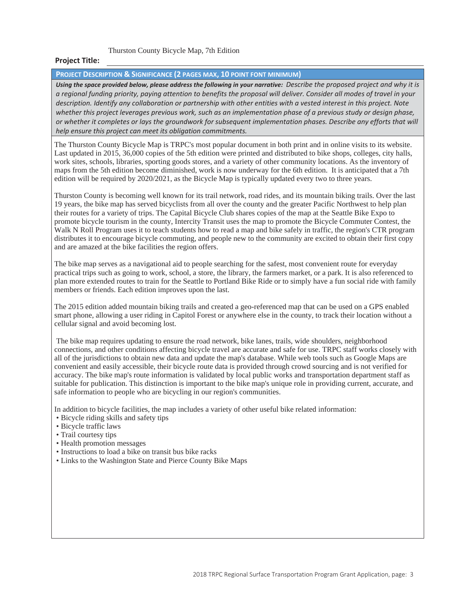Thurston County Bicycle Map, 7th Edition

### **Project Title:**

#### **PROJECT DESCRIPTION & SIGNIFICANCE (2 PAGES MAX, 10 POINT FONT MINIMUM)**

*Using the space provided below, please address the following in your narrative: Describe the proposed project and why it is a regional funding priority, paying attention to benefits the proposal will deliver. Consider all modes of travel in your description. Identify any collaboration or partnership with other entities with a vested interest in this project. Note*  whether this project leverages previous work, such as an implementation phase of a previous study or design phase, *or whether it completes or lays the groundwork for subsequent implementation phases. Describe any efforts that will help ensure this project can meet its obligation commitments.* 

The Thurston County Bicycle Map is TRPC's most popular document in both print and in online visits to its website. Last updated in 2015, 36,000 copies of the 5th edition were printed and distributed to bike shops, colleges, city halls, work sites, schools, libraries, sporting goods stores, and a variety of other community locations. As the inventory of maps from the 5th edition become diminished, work is now underway for the 6th edition. It is anticipated that a 7th edition will be required by 2020/2021, as the Bicycle Map is typically updated every two to three years.

Thurston County is becoming well known for its trail network, road rides, and its mountain biking trails. Over the last 19 years, the bike map has served bicyclists from all over the county and the greater Pacific Northwest to help plan their routes for a variety of trips. The Capital Bicycle Club shares copies of the map at the Seattle Bike Expo to promote bicycle tourism in the county, Intercity Transit uses the map to promote the Bicycle Commuter Contest, the Walk N Roll Program uses it to teach students how to read a map and bike safely in traffic, the region's CTR program distributes it to encourage bicycle commuting, and people new to the community are excited to obtain their first copy and are amazed at the bike facilities the region offers.

The bike map serves as a navigational aid to people searching for the safest, most convenient route for everyday practical trips such as going to work, school, a store, the library, the farmers market, or a park. It is also referenced to plan more extended routes to train for the Seattle to Portland Bike Ride or to simply have a fun social ride with family members or friends. Each edition improves upon the last.

The 2015 edition added mountain biking trails and created a geo-referenced map that can be used on a GPS enabled smart phone, allowing a user riding in Capitol Forest or anywhere else in the county, to track their location without a cellular signal and avoid becoming lost.

 The bike map requires updating to ensure the road network, bike lanes, trails, wide shoulders, neighborhood connections, and other conditions affecting bicycle travel are accurate and safe for use. TRPC staff works closely with all of the jurisdictions to obtain new data and update the map's database. While web tools such as Google Maps are convenient and easily accessible, their bicycle route data is provided through crowd sourcing and is not verified for accuracy. The bike map's route information is validated by local public works and transportation department staff as suitable for publication. This distinction is important to the bike map's unique role in providing current, accurate, and safe information to people who are bicycling in our region's communities.

In addition to bicycle facilities, the map includes a variety of other useful bike related information:

- Bicycle riding skills and safety tips
- Bicycle traffic laws
- Trail courtesy tips
- Health promotion messages
- Instructions to load a bike on transit bus bike racks
- Links to the Washington State and Pierce County Bike Maps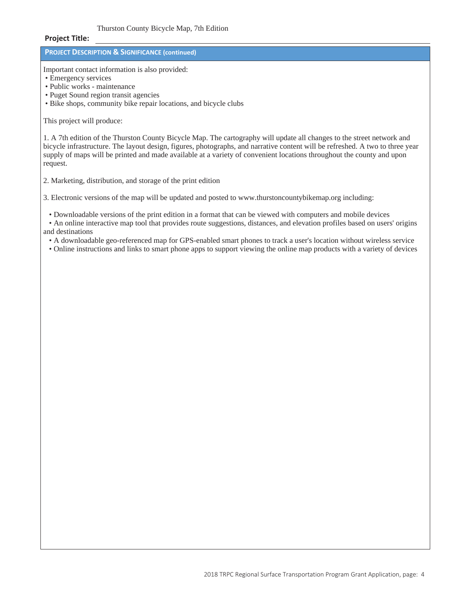#### Thurston County Bicycle Map, 7th Edition

#### **Project Title:**

## **PROJECT DESCRIPTION & SIGNIFICANCE (continued)**

Important contact information is also provided:

- Emergency services
- Public works maintenance
- Puget Sound region transit agencies
- Bike shops, community bike repair locations, and bicycle clubs

#### This project will produce:

1. A 7th edition of the Thurston County Bicycle Map. The cartography will update all changes to the street network and bicycle infrastructure. The layout design, figures, photographs, and narrative content will be refreshed. A two to three year supply of maps will be printed and made available at a variety of convenient locations throughout the county and upon request.

2. Marketing, distribution, and storage of the print edition

3. Electronic versions of the map will be updated and posted to www.thurstoncountybikemap.org including:

• Downloadable versions of the print edition in a format that can be viewed with computers and mobile devices

• An online interactive map tool that provides route suggestions, distances, and elevation profiles based on users' origins and destinations

• A downloadable geo-referenced map for GPS-enabled smart phones to track a user's location without wireless service

• Online instructions and links to smart phone apps to support viewing the online map products with a variety of devices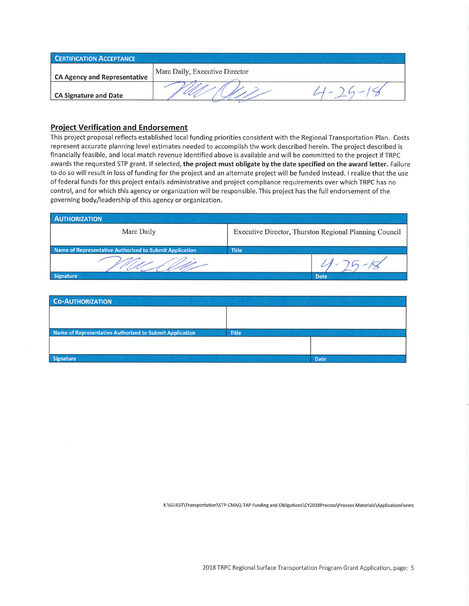| <b>CERTIFICATION ACCEPTANCE</b>     |                                |  |  |  |
|-------------------------------------|--------------------------------|--|--|--|
| <b>CA Agency and Representative</b> | Marc Daily, Executive Director |  |  |  |
| <b>CA Signature and Date</b>        |                                |  |  |  |

## **Project Verification and Endorsement**

This project proposal reflects established local funding priorities consistent with the Regional Transportation Plan. Costs represent accurate planning level estimates needed to accomplish the work described herein. The project described is financially feasible, and local match revenue identified above is available and will be committed to the project if TRPC awards the requested STP grant. If selected, the project must obligate by the date specified on the award letter. Failure to do so will result in loss of funding for the project and an alternate project will be funded instead. I realize that the use of federal funds for this project entails administrative and project compliance requirements over which TRPC has no control, and for which this agency or organization will be responsible. This project has the full endorsement of the governing body/leadership of this agency or organization.

| <b>AUTHORIZATION</b>                                    |                                                        |  |  |
|---------------------------------------------------------|--------------------------------------------------------|--|--|
| Marc Daily                                              | Executive Director, Thurston Regional Planning Council |  |  |
| Name of Representative Authorized to Submit Application | <b>Title</b>                                           |  |  |
|                                                         |                                                        |  |  |
| Signature                                               | <b>Date</b>                                            |  |  |

| <b>CO-AUTHORIZATION</b>                                 |              |             |
|---------------------------------------------------------|--------------|-------------|
|                                                         |              |             |
|                                                         |              |             |
| Name of Representative Authorized to Submit Application | <b>Title</b> |             |
|                                                         |              |             |
|                                                         |              |             |
| Signature                                               |              | <b>Date</b> |

K:\GUEST\Transportation\STP-CMAQ-TAP Funding and Obligations\CY2018Process\Process Materials\ApplicationForms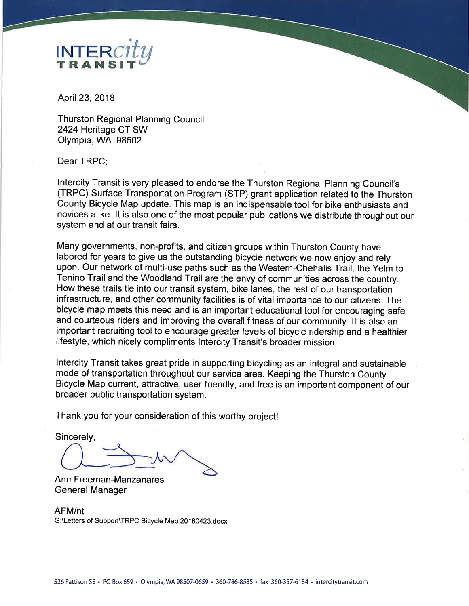

April 23, 2018

**Thurston Regional Planning Council** 2424 Heritage CT SW Olympia, WA 98502

Dear TRPC:

Intercity Transit is very pleased to endorse the Thurston Regional Planning Council's (TRPC) Surface Transportation Program (STP) grant application related to the Thurston County Bicycle Map update. This map is an indispensable tool for bike enthusiasts and novices alike. It is also one of the most popular publications we distribute throughout our system and at our transit fairs.

Many governments, non-profits, and citizen groups within Thurston County have labored for years to give us the outstanding bicycle network we now enjoy and rely upon. Our network of multi-use paths such as the Western-Chehalis Trail, the Yelm to Tenino Trail and the Woodland Trail are the envy of communities across the country. How these trails tie into our transit system, bike lanes, the rest of our transportation infrastructure, and other community facilities is of vital importance to our citizens. The bicycle map meets this need and is an important educational tool for encouraging safe and courteous riders and improving the overall fitness of our community. It is also an important recruiting tool to encourage greater levels of bicycle ridership and a healthier lifestyle, which nicely compliments Intercity Transit's broader mission.

Intercity Transit takes great pride in supporting bicycling as an integral and sustainable mode of transportation throughout our service area. Keeping the Thurston County Bicycle Map current, attractive, user-friendly, and free is an important component of our broader public transportation system.

Thank you for your consideration of this worthy project!

Sincerely,

Ann Freeman-Manzanares **General Manager** 

AFM/nt G:\Letters of Support\TRPC Bicycle Map 20180423.docx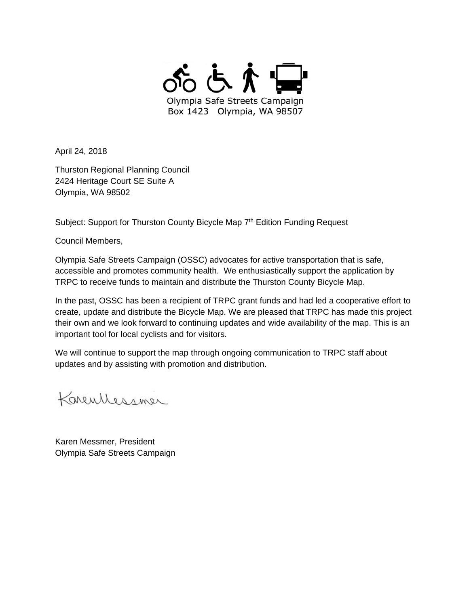

April 24, 2018

Thurston Regional Planning Council 2424 Heritage Court SE Suite A Olympia, WA 98502

Subject: Support for Thurston County Bicycle Map 7<sup>th</sup> Edition Funding Request

Council Members,

Olympia Safe Streets Campaign (OSSC) advocates for active transportation that is safe, accessible and promotes community health. We enthusiastically support the application by TRPC to receive funds to maintain and distribute the Thurston County Bicycle Map.

In the past, OSSC has been a recipient of TRPC grant funds and had led a cooperative effort to create, update and distribute the Bicycle Map. We are pleased that TRPC has made this project their own and we look forward to continuing updates and wide availability of the map. This is an important tool for local cyclists and for visitors.

We will continue to support the map through ongoing communication to TRPC staff about updates and by assisting with promotion and distribution.

Karentlessmer

Karen Messmer, President Olympia Safe Streets Campaign